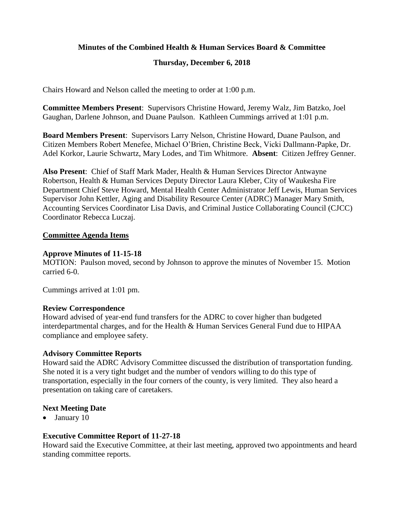# **Minutes of the Combined Health & Human Services Board & Committee**

# **Thursday, December 6, 2018**

Chairs Howard and Nelson called the meeting to order at 1:00 p.m.

**Committee Members Present**: Supervisors Christine Howard, Jeremy Walz, Jim Batzko, Joel Gaughan, Darlene Johnson, and Duane Paulson. Kathleen Cummings arrived at 1:01 p.m.

**Board Members Present**: Supervisors Larry Nelson, Christine Howard, Duane Paulson, and Citizen Members Robert Menefee, Michael O'Brien, Christine Beck, Vicki Dallmann-Papke, Dr. Adel Korkor, Laurie Schwartz, Mary Lodes, and Tim Whitmore. **Absent**: Citizen Jeffrey Genner.

**Also Present**: Chief of Staff Mark Mader, Health & Human Services Director Antwayne Robertson, Health & Human Services Deputy Director Laura Kleber, City of Waukesha Fire Department Chief Steve Howard, Mental Health Center Administrator Jeff Lewis, Human Services Supervisor John Kettler, Aging and Disability Resource Center (ADRC) Manager Mary Smith, Accounting Services Coordinator Lisa Davis, and Criminal Justice Collaborating Council (CJCC) Coordinator Rebecca Luczaj.

### **Committee Agenda Items**

### **Approve Minutes of 11-15-18**

MOTION: Paulson moved, second by Johnson to approve the minutes of November 15. Motion carried 6-0.

Cummings arrived at 1:01 pm.

### **Review Correspondence**

Howard advised of year-end fund transfers for the ADRC to cover higher than budgeted interdepartmental charges, and for the Health & Human Services General Fund due to HIPAA compliance and employee safety.

# **Advisory Committee Reports**

Howard said the ADRC Advisory Committee discussed the distribution of transportation funding. She noted it is a very tight budget and the number of vendors willing to do this type of transportation, especially in the four corners of the county, is very limited. They also heard a presentation on taking care of caretakers.

# **Next Meeting Date**

• January 10

# **Executive Committee Report of 11-27-18**

Howard said the Executive Committee, at their last meeting, approved two appointments and heard standing committee reports.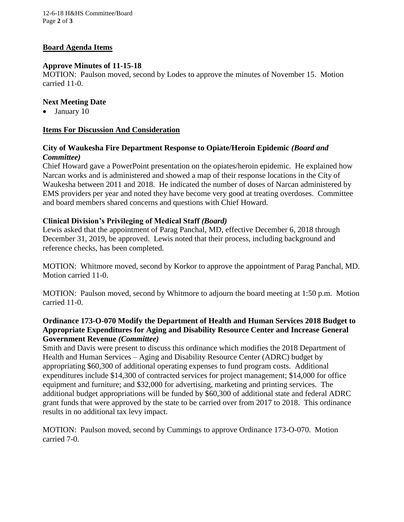12-6-18 H&HS Committee/Board Page **2** of **3**

### **Board Agenda Items**

### **Approve Minutes of 11-15-18**

MOTION: Paulson moved, second by Lodes to approve the minutes of November 15. Motion carried 11-0.

### **Next Meeting Date**

• January 10

### **Items For Discussion And Consideration**

### **City of Waukesha Fire Department Response to Opiate/Heroin Epidemic** *(Board and Committee)*

Chief Howard gave a PowerPoint presentation on the opiates/heroin epidemic. He explained how Narcan works and is administered and showed a map of their response locations in the City of Waukesha between 2011 and 2018. He indicated the number of doses of Narcan administered by EMS providers per year and noted they have become very good at treating overdoses. Committee and board members shared concerns and questions with Chief Howard.

### **Clinical Division's Privileging of Medical Staff** *(Board)*

Lewis asked that the appointment of Parag Panchal, MD, effective December 6, 2018 through December 31, 2019, be approved. Lewis noted that their process, including background and reference checks, has been completed.

MOTION: Whitmore moved, second by Korkor to approve the appointment of Parag Panchal, MD. Motion carried 11-0.

MOTION: Paulson moved, second by Whitmore to adjourn the board meeting at 1:50 p.m. Motion carried 11-0.

# **Ordinance 173-O-070 Modify the Department of Health and Human Services 2018 Budget to Appropriate Expenditures for Aging and Disability Resource Center and Increase General Government Revenue** *(Committee)*

Smith and Davis were present to discuss this ordinance which modifies the 2018 Department of Health and Human Services – Aging and Disability Resource Center (ADRC) budget by appropriating \$60,300 of additional operating expenses to fund program costs. Additional expenditures include \$14,300 of contracted services for project management; \$14,000 for office equipment and furniture; and \$32,000 for advertising, marketing and printing services. The additional budget appropriations will be funded by \$60,300 of additional state and federal ADRC grant funds that were approved by the state to be carried over from 2017 to 2018. This ordinance results in no additional tax levy impact.

MOTION: Paulson moved, second by Cummings to approve Ordinance 173-O-070. Motion carried 7-0.